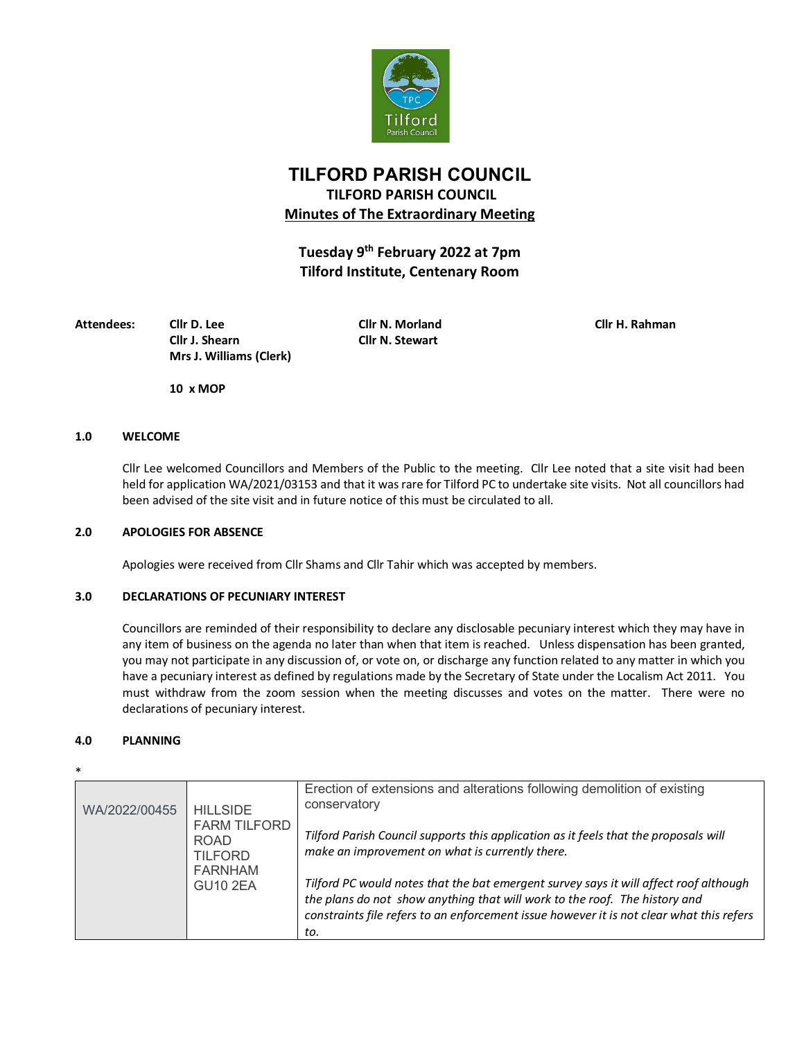

# **TILFORD PARISH COUNCIL TILFORD PARISH COUNCIL Minutes of The Extraordinary Meeting**

**Tuesday 9th February 2022 at 7pm Tilford Institute, Centenary Room**

**Attendees: Cllr D. Lee Cllr N. Morland Cllr H. Rahman Cllr J. Shearn Cllr N. Stewart Mrs J. Williams (Clerk)**

**10 x MOP**

### **1.0 WELCOME**

Cllr Lee welcomed Councillors and Members of the Public to the meeting. Cllr Lee noted that a site visit had been held for application WA/2021/03153 and that it was rare for Tilford PC to undertake site visits. Not all councillors had been advised of the site visit and in future notice of this must be circulated to all.

#### **2.0 APOLOGIES FOR ABSENCE**

Apologies were received from Cllr Shams and Cllr Tahir which was accepted by members.

## **3.0 DECLARATIONS OF PECUNIARY INTEREST**

Councillors are reminded of their responsibility to declare any disclosable pecuniary interest which they may have in any item of business on the agenda no later than when that item is reached. Unless dispensation has been granted, you may not participate in any discussion of, or vote on, or discharge any function related to any matter in which you have a pecuniary interest as defined by regulations made by the Secretary of State under the Localism Act 2011. You must withdraw from the zoom session when the meeting discusses and votes on the matter. There were no declarations of pecuniary interest.

#### **4.0 PLANNING**

| ۰.<br>v<br>×<br>I<br>- |  |
|------------------------|--|
|                        |  |

| WA/2022/00455 | <b>HILLSIDE</b><br><b>FARM TILFORD</b><br><b>ROAD</b><br><b>TILFORD</b><br><b>FARNHAM</b><br><b>GU10 2EA</b> | Erection of extensions and alterations following demolition of existing<br>conservatory                                                                                                                                                                                |
|---------------|--------------------------------------------------------------------------------------------------------------|------------------------------------------------------------------------------------------------------------------------------------------------------------------------------------------------------------------------------------------------------------------------|
|               |                                                                                                              | Tilford Parish Council supports this application as it feels that the proposals will<br>make an improvement on what is currently there.                                                                                                                                |
|               |                                                                                                              | Tilford PC would notes that the bat emergent survey says it will affect roof although<br>the plans do not show anything that will work to the roof. The history and<br>constraints file refers to an enforcement issue however it is not clear what this refers<br>to. |